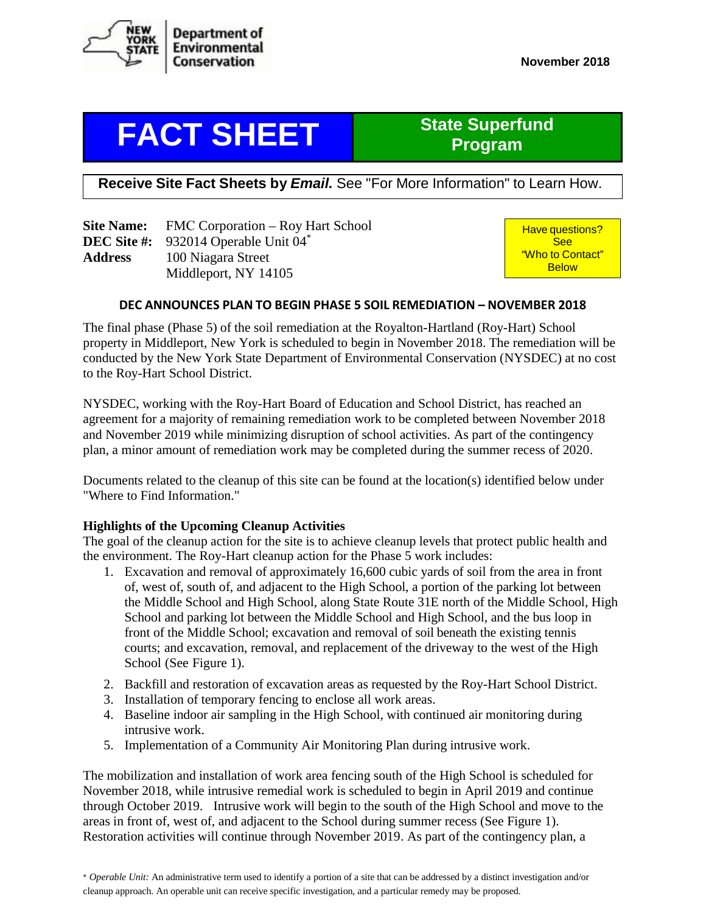

# **FACT SHEET** State Superfund

# **Program**

**Receive Site Fact Sheets by** *Email.* See "For More Information" to Learn How.

|                | <b>Site Name:</b> FMC Corporation – Roy Hart School     |  |  |
|----------------|---------------------------------------------------------|--|--|
|                | <b>DEC Site #:</b> 932014 Operable Unit 04 <sup>*</sup> |  |  |
| <b>Address</b> | 100 Niagara Street                                      |  |  |
|                | Middleport, NY 14105                                    |  |  |

Have questions? **See** "Who to Contact" **Below** 

# **DEC ANNOUNCES PLAN TO BEGIN PHASE 5 SOIL REMEDIATION – NOVEMBER 2018**

The final phase (Phase 5) of the soil remediation at the Royalton-Hartland (Roy-Hart) School property in Middleport, New York is scheduled to begin in November 2018. The remediation will be conducted by the New York State Department of Environmental Conservation (NYSDEC) at no cost to the Roy-Hart School District.

NYSDEC, working with the Roy-Hart Board of Education and School District, has reached an agreement for a majority of remaining remediation work to be completed between November 2018 and November 2019 while minimizing disruption of school activities. As part of the contingency plan, a minor amount of remediation work may be completed during the summer recess of 2020.

Documents related to the cleanup of this site can be found at the location(s) identified below under "Where to Find Information."

# **Highlights of the Upcoming Cleanup Activities**

The goal of the cleanup action for the site is to achieve cleanup levels that protect public health and the environment. The Roy-Hart cleanup action for the Phase 5 work includes:

- 1. Excavation and removal of approximately 16,600 cubic yards of soil from the area in front of, west of, south of, and adjacent to the High School, a portion of the parking lot between the Middle School and High School, along State Route 31E north of the Middle School, High School and parking lot between the Middle School and High School, and the bus loop in front of the Middle School; excavation and removal of soil beneath the existing tennis courts; and excavation, removal, and replacement of the driveway to the west of the High School (See Figure 1).
- 2. Backfill and restoration of excavation areas as requested by the Roy-Hart School District.
- 3. Installation of temporary fencing to enclose all work areas.
- 4. Baseline indoor air sampling in the High School, with continued air monitoring during intrusive work.
- 5. Implementation of a Community Air Monitoring Plan during intrusive work.

The mobilization and installation of work area fencing south of the High School is scheduled for November 2018, while intrusive remedial work is scheduled to begin in April 2019 and continue through October 2019. Intrusive work will begin to the south of the High School and move to the areas in front of, west of, and adjacent to the School during summer recess (See Figure 1). Restoration activities will continue through November 2019. As part of the contingency plan, a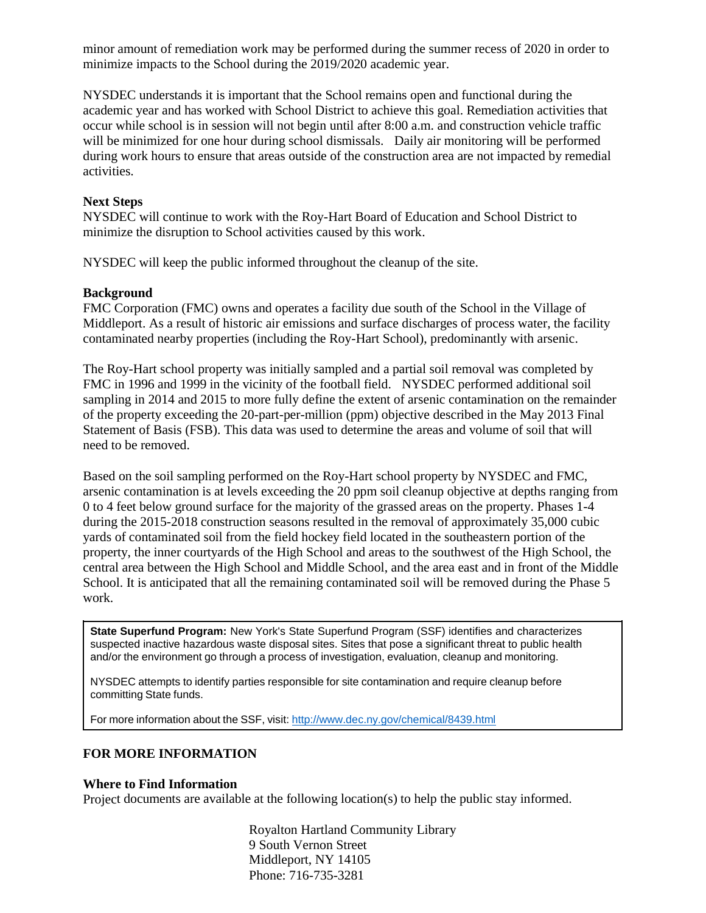minor amount of remediation work may be performed during the summer recess of 2020 in order to minimize impacts to the School during the 2019/2020 academic year.

NYSDEC understands it is important that the School remains open and functional during the academic year and has worked with School District to achieve this goal. Remediation activities that occur while school is in session will not begin until after 8:00 a.m. and construction vehicle traffic will be minimized for one hour during school dismissals. Daily air monitoring will be performed during work hours to ensure that areas outside of the construction area are not impacted by remedial activities.

# **Next Steps**

NYSDEC will continue to work with the Roy-Hart Board of Education and School District to minimize the disruption to School activities caused by this work.

NYSDEC will keep the public informed throughout the cleanup of the site.

#### **Background**

FMC Corporation (FMC) owns and operates a facility due south of the School in the Village of Middleport. As a result of historic air emissions and surface discharges of process water, the facility contaminated nearby properties (including the Roy-Hart School), predominantly with arsenic.

The Roy-Hart school property was initially sampled and a partial soil removal was completed by FMC in 1996 and 1999 in the vicinity of the football field. NYSDEC performed additional soil sampling in 2014 and 2015 to more fully define the extent of arsenic contamination on the remainder of the property exceeding the 20-part-per-million (ppm) objective described in the May 2013 Final Statement of Basis (FSB). This data was used to determine the areas and volume of soil that will need to be removed.

Based on the soil sampling performed on the Roy-Hart school property by NYSDEC and FMC, arsenic contamination is at levels exceeding the 20 ppm soil cleanup objective at depths ranging from 0 to 4 feet below ground surface for the majority of the grassed areas on the property. Phases 1-4 during the 2015-2018 construction seasons resulted in the removal of approximately 35,000 cubic yards of contaminated soil from the field hockey field located in the southeastern portion of the property, the inner courtyards of the High School and areas to the southwest of the High School, the central area between the High School and Middle School, and the area east and in front of the Middle School. It is anticipated that all the remaining contaminated soil will be removed during the Phase 5 work.

**State Superfund Program:** New York's State Superfund Program (SSF) identifies and characterizes suspected inactive hazardous waste disposal sites. Sites that pose a significant threat to public health and/or the environment go through a process of investigation, evaluation, cleanup and monitoring.

NYSDEC attempts to identify parties responsible for site contamination and require cleanup before committing State funds.

For more information about the SSF, visit: http://www.dec.ny.gov/chemical/8439.html

# **FOR MORE INFORMATION**

#### **Where to Find Information**

Project documents are available at the following location(s) to help the public stay informed.

Royalton Hartland Community Library 9 South Vernon Street Middleport, NY 14105 Phone: 716-735-3281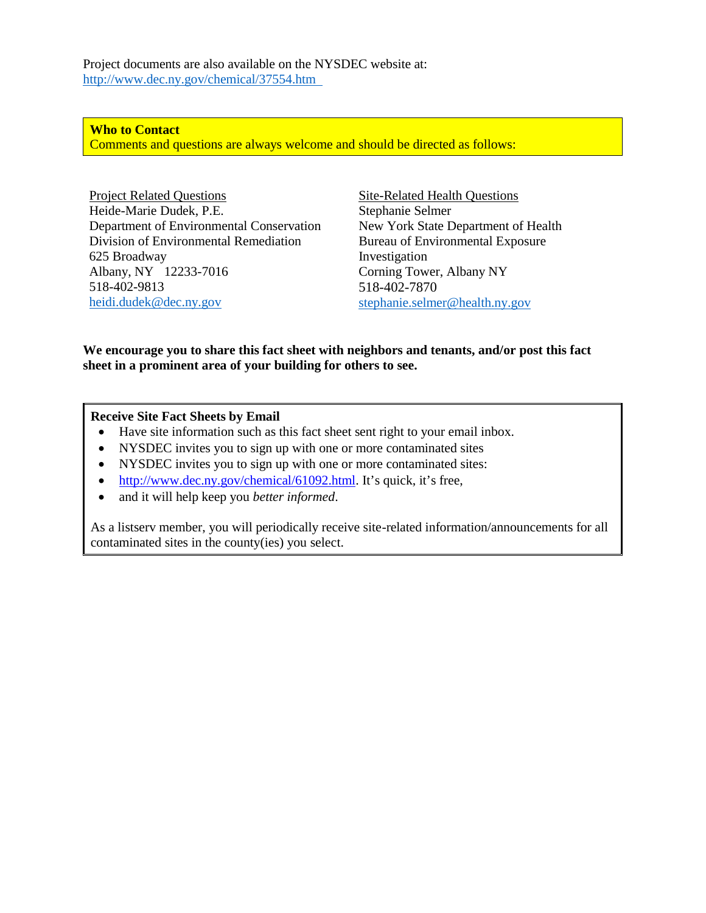Project documents are also available on the NYSDEC website at: http://www.dec.ny.gov/chemical/37554.htm

**Who to Contact** Comments and questions are always welcome and should be directed as follows:

Project Related Questions Heide-Marie Dudek, P.E. Department of Environmental Conservation Division of Environmental Remediation 625 Broadway Albany, NY 12233-7016 518-402-9813 heidi.dudek@dec.ny.gov

Site-Related Health Questions Stephanie Selmer New York State Department of Health Bureau of Environmental Exposure Investigation Corning Tower, Albany NY 518-402-7870 stephanie.selmer@health.ny.gov

# **We encourage you to share this fact sheet with neighbors and tenants, and/or post this fact sheet in a prominent area of your building for others to see.**

**Receive Site Fact Sheets by Email**

- Have site information such as this fact sheet sent right to your email inbox.
- NYSDEC invites you to sign up with one or more contaminated sites
- NYSDEC invites you to sign up with one or more contaminated sites:
- http://www.dec.ny.gov/chemical/61092.html. It's quick, it's free,
- and it will help keep you *better informed*.

As a listserv member, you will periodically receive site-related information/announcements for all contaminated sites in the county(ies) you select.